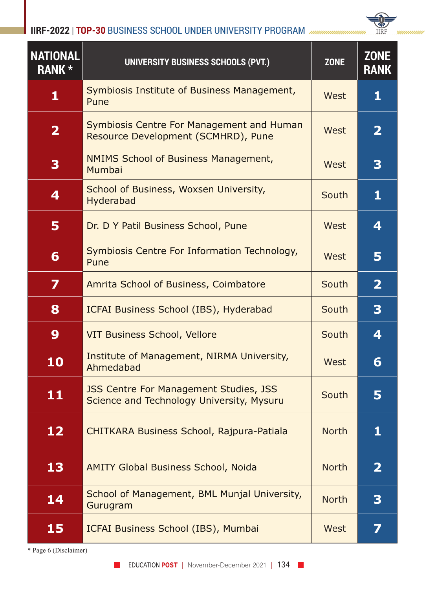**IIRF-2022** | **TOP-30** BUSINESS SCHOOL UNDER UNIVERSITY PROGRAM



| <b>NATIONAL</b><br><b>RANK *</b> | UNIVERSITY BUSINESS SCHOOLS (PVT.)                                                         | <b>ZONE</b>  | <b>ZONE</b><br><b>RANK</b> |
|----------------------------------|--------------------------------------------------------------------------------------------|--------------|----------------------------|
| 1                                | Symbiosis Institute of Business Management,<br>Pune                                        | West         | 1                          |
| $\overline{\mathbf{2}}$          | <b>Symbiosis Centre For Management and Human</b><br>Resource Development (SCMHRD), Pune    | West         | $\mathbf{2}$               |
| 3                                | <b>NMIMS School of Business Management,</b><br>Mumbai                                      | West         | 3                          |
| 4                                | School of Business, Woxsen University,<br>Hyderabad                                        | South        | 1                          |
| 5                                | Dr. D Y Patil Business School, Pune                                                        | West         | 4                          |
| 6                                | Symbiosis Centre For Information Technology,<br>Pune                                       | West         | 5                          |
| 7                                | Amrita School of Business, Coimbatore                                                      | South        | $\overline{\mathbf{2}}$    |
| 8                                | ICFAI Business School (IBS), Hyderabad                                                     | South        | 3                          |
| 9                                | <b>VIT Business School, Vellore</b>                                                        | South        | 4                          |
| 10                               | Institute of Management, NIRMA University,<br>Ahmedabad                                    | West         | 6                          |
| 11                               | <b>JSS Centre For Management Studies, JSS</b><br>Science and Technology University, Mysuru | South        | 5                          |
| 12                               | CHITKARA Business School, Rajpura-Patiala                                                  | <b>North</b> | 1                          |
| 13                               | <b>AMITY Global Business School, Noida</b>                                                 | <b>North</b> | $\mathbf{2}$               |
| 14                               | School of Management, BML Munjal University,<br>Gurugram                                   | <b>North</b> | 3                          |
| 15                               | ICFAI Business School (IBS), Mumbai                                                        | West         | 7                          |

\* Page 6 (Disclaimer)